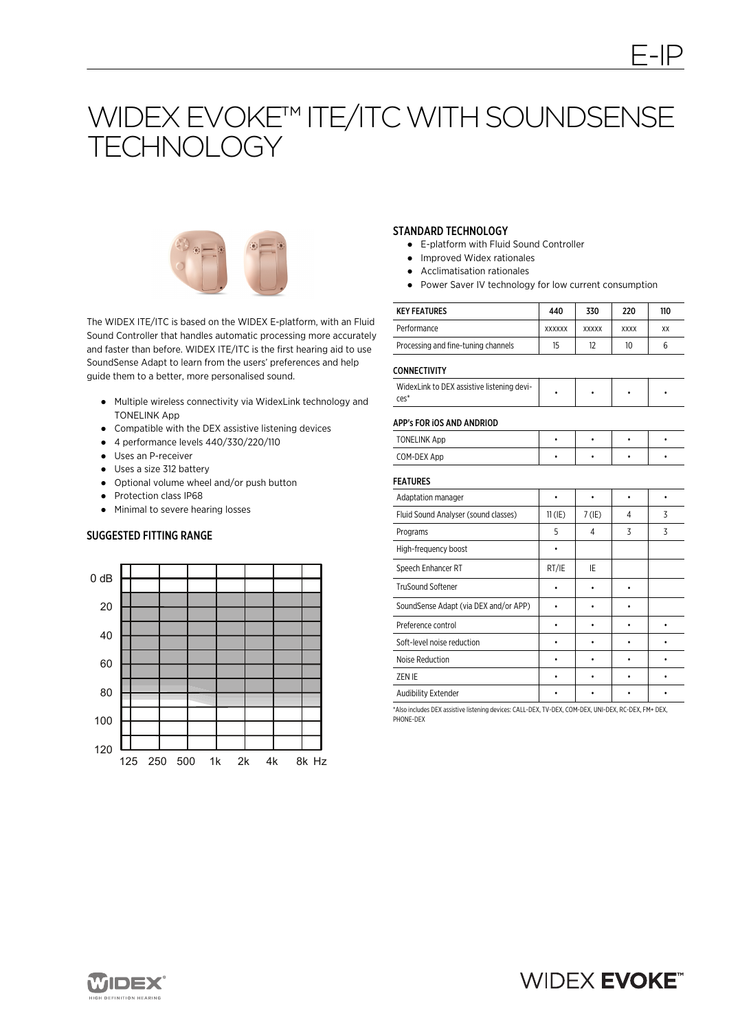# WIDEX EVOKE™ ITE/ITC WITH SOUNDSENSE **TECHNOLOGY**



The WIDEX ITE/ITC is based on the WIDEX E-platform, with an Fluid Sound Controller that handles automatic processing more accurately and faster than before. WIDEX ITE/ITC is the first hearing aid to use SoundSense Adapt to learn from the users' preferences and help guide them to a better, more personalised sound.

- Multiple wireless connectivity via WidexLink technology and TONELINK App
- Compatible with the DEX assistive listening devices
- 4 performance levels 440/330/220/110
- Uses an P-receiver
- Uses a size 312 battery
- Optional volume wheel and/or push button
- Protection class IP68
- Minimal to severe hearing losses

#### SUGGESTED FITTING RANGE



# STANDARD TECHNOLOGY

- E-platform with Fluid Sound Controller
- Improved Widex rationales
- Acclimatisation rationales
- Power Saver IV technology for low current consumption

| <b>KEY FEATURES</b>                 | 440           | 330          | 220         | 110 |
|-------------------------------------|---------------|--------------|-------------|-----|
| Performance                         | <b>XXXXXX</b> | <b>XXXXX</b> | <b>XXXX</b> | XX  |
| Processing and fine-tuning channels | 15            | 12           | 10          |     |

#### CONNECTIVITY

| WidexLink to DEX assistive listening devi- |  |  |
|--------------------------------------------|--|--|
| ces'                                       |  |  |

#### APP's FOR iOS AND ANDRIOD

| <b>TONELINK App</b> |  |  |
|---------------------|--|--|
| COM-DEX App         |  |  |

## FEATURES

| <b>FEAIURES</b>                       |           |          |   |   |
|---------------------------------------|-----------|----------|---|---|
| Adaptation manager                    |           |          |   |   |
| Fluid Sound Analyser (sound classes)  | $11$ (IE) | $7$ (IE) | 4 | 3 |
| Programs                              | 5         | 4        | 3 | 3 |
| High-frequency boost                  |           |          |   |   |
| Speech Enhancer RT                    | RT/IE     | IE       |   |   |
| <b>TruSound Softener</b>              |           |          |   |   |
| SoundSense Adapt (via DEX and/or APP) |           |          |   |   |
| Preference control                    |           |          |   |   |
| Soft-level noise reduction            |           |          |   |   |
| Noise Reduction                       |           |          |   |   |
| ZEN IE                                |           |          |   |   |
| Audibility Extender                   |           |          |   |   |

\*Also includes DEX assistive listening devices: CALL-DEX, TV-DEX, COM-DEX, UNI-DEX, RC-DEX, FM+ DEX, PHONE-DEX